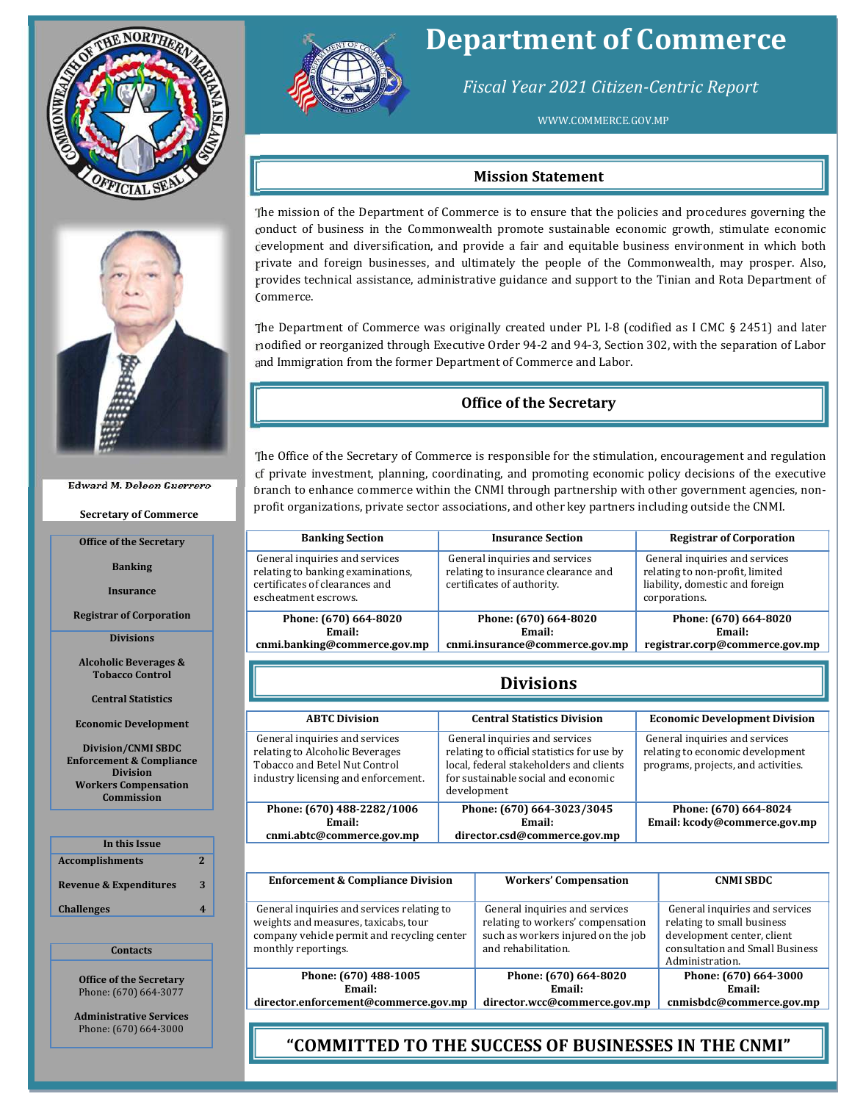



#### Edward M. Deleon Guerrero

Secretary of Commerce

Office of the Secretary

Banking

Insurance

Registrar of Corporation

Divisions

Alcoholic Beverages & Tobacco Control

Central Statistics

Economic Development

Division/CNMI SBDC Enforcement & Compliance Division Workers Compensation **Commission** 

| In this Issue                     |   |
|-----------------------------------|---|
| <b>Accomplishments</b>            | 2 |
| <b>Revenue &amp; Expenditures</b> | ર |
| <b>Challenges</b>                 |   |
|                                   |   |

### **Contacts**

Office of the Secretary Phone: (670) 664-3077

Administrative Services Phone: (670) 664-3000



### Department of Commerce

Fiscal Year 2021 Citizen-Centric Report

WWW.COMMERCE.GOV.MP

### Mission Statement

The mission of the Department of Commerce is to ensure that the policies and procedures governing the conduct of business in the Commonwealth promote sustainable economic growth, stimulate economic development and diversification, and provide a fair and equitable business environment in which both private and foreign businesses, and ultimately the people of the Commonwealth, may prosper. Also, provides technical assistance, administrative guidance and support to the Tinian and Rota Department of Commerce.

The Department of Commerce was originally created under PL I-8 (codified as I CMC § 2451) and later modified or reorganized through Executive Order 94-2 and 94-3, Section 302, with the separation of Labor and Immigration from the former Department of Commerce and Labor.

### Office of the Secretary

The Office of the Secretary of Commerce is responsible for the stimulation, encouragement and regulation of private investment, planning, coordinating, and promoting economic policy decisions of the executive branch to enhance commerce within the CNMI through partnership with other government agencies, nonprofit organizations, private sector associations, and other key partners including outside the CNMI.

| <b>Banking Section</b>                                                                                                        | <b>Insurance Section</b>                                                                            | <b>Registrar of Corporation</b>                                                                                       |
|-------------------------------------------------------------------------------------------------------------------------------|-----------------------------------------------------------------------------------------------------|-----------------------------------------------------------------------------------------------------------------------|
| General inquiries and services<br>relating to banking examinations,<br>certificates of clearances and<br>escheatment escrows. | General inquiries and services<br>relating to insurance clearance and<br>certificates of authority. | General inquiries and services<br>relating to non-profit, limited<br>liability, domestic and foreign<br>corporations. |
| Phone: (670) 664-8020<br>Email:<br>cnmi.banking@commerce.gov.mp                                                               | Phone: (670) 664-8020<br>Email:<br>cnmi.insurance@commerce.gov.mp                                   | Phone: (670) 664-8020<br>Email:<br>registrar.corp@commerce.gov.mp                                                     |

### Divisions

| <b>ABTC Division</b>                                                                                                                      | <b>Central Statistics Division</b>                                                                                                                                            | <b>Economic Development Division</b>                                                                      |
|-------------------------------------------------------------------------------------------------------------------------------------------|-------------------------------------------------------------------------------------------------------------------------------------------------------------------------------|-----------------------------------------------------------------------------------------------------------|
| General inquiries and services<br>relating to Alcoholic Beverages<br>Tobacco and Betel Nut Control<br>industry licensing and enforcement. | General inquiries and services<br>relating to official statistics for use by<br>local, federal stakeholders and clients<br>for sustainable social and economic<br>development | General inquiries and services<br>relating to economic development<br>programs, projects, and activities. |
| Phone: (670) 488-2282/1006<br>Email:<br>cnmi.abtc@commerce.gov.mp                                                                         | Phone: (670) 664-3023/3045<br>Email:<br>director.csd@commerce.gov.mp                                                                                                          | Phone: (670) 664-8024<br>Email: kcody@commerce.gov.mp                                                     |

| <b>Enforcement &amp; Compliance Division</b>                                                                                                             | <b>Workers' Compensation</b>                                                                                                     | <b>CNMI SBDC</b>                                                                                                                                 |
|----------------------------------------------------------------------------------------------------------------------------------------------------------|----------------------------------------------------------------------------------------------------------------------------------|--------------------------------------------------------------------------------------------------------------------------------------------------|
| General inquiries and services relating to<br>weights and measures, taxicabs, tour<br>company vehicle permit and recycling center<br>monthly reportings. | General inquiries and services<br>relating to workers' compensation<br>such as workers injured on the job<br>and rehabilitation. | General inquiries and services<br>relating to small business<br>development center, client<br>consultation and Small Business<br>Administration. |
| Phone: (670) 488-1005<br>Email:                                                                                                                          | Phone: (670) 664-8020<br>Email:                                                                                                  | Phone: (670) 664-3000<br>Email:                                                                                                                  |
| director.enforcement@commerce.gov.mp                                                                                                                     | director.wcc@commerce.gov.mp                                                                                                     | cnmisbdc@commerce.gov.mp                                                                                                                         |

**Fig. 2021 COMMITTED TO THE SUCCESS OF BUSINESSES IN THE CNMI"**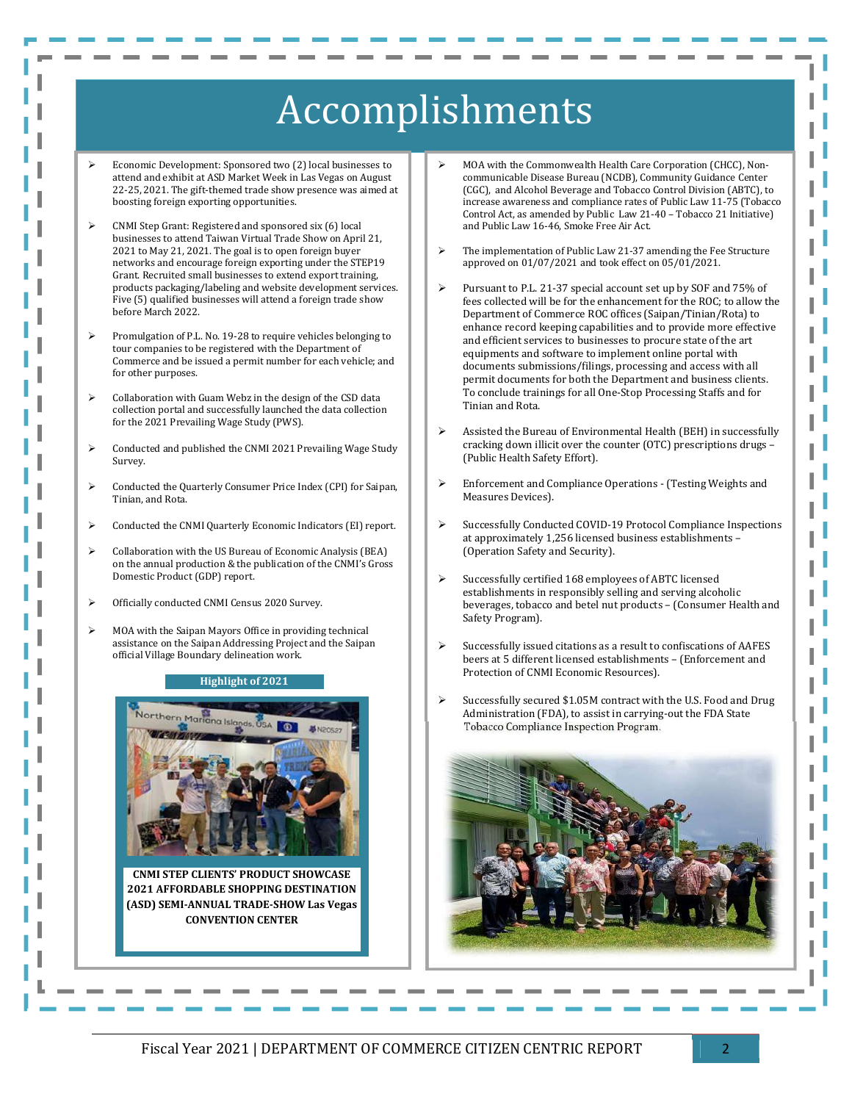## Accomplishments

 Economic Development: Sponsored two (2) local businesses to attend and exhibit at ASD Market Week in Las Vegas on August 22-25, 2021. The gift-themed trade show presence was aimed at boosting foreign exporting opportunities.

l

- CNMI Step Grant: Registered and sponsored six (6) local businesses to attend Taiwan Virtual Trade Show on April 21, 2021 to May 21, 2021. The goal is to open foreign buyer networks and encourage foreign exporting under the STEP19 Grant. Recruited small businesses to extend export training, products packaging/labeling and website development services. Five (5) qualified businesses will attend a foreign trade show before March 2022.
- Promulgation of P.L. No. 19-28 to require vehicles belonging to tour companies to be registered with the Department of Commerce and be issued a permit number for each vehicle; and for other purposes.
- Collaboration with Guam Webz in the design of the CSD data collection portal and successfully launched the data collection for the 2021 Prevailing Wage Study (PWS).
- Conducted and published the CNMI 2021 Prevailing Wage Study Survey.
- Conducted the Quarterly Consumer Price Index (CPI) for Saipan, Tinian, and Rota.
- Conducted the CNMI Quarterly Economic Indicators (EI) report.
- Collaboration with the US Bureau of Economic Analysis (BEA) on the annual production & the publication of the CNMI's Gross Domestic Product (GDP) report.
- Officially conducted CNMI Census 2020 Survey.
- $\triangleright$  MOA with the Saipan Mayors Office in providing technical assistance on the Saipan Addressing Project and the Saipan official Village Boundary delineation work.

### Highlight of 2021



CNMI STEP CLIENTS' PRODUCT SHOWCASE 2021 AFFORDABLE SHOPPING DESTINATION (ASD) SEMI-ANNUAL TRADE-SHOW Las Vegas CONVENTION CENTER

- MOA with the Commonwealth Health Care Corporation (CHCC), Noncommunicable Disease Bureau (NCDB), Community Guidance Center (CGC), and Alcohol Beverage and Tobacco Control Division (ABTC), to increase awareness and compliance rates of Public Law 11-75 (Tobacco Control Act, as amended by Public Law 21-40 – Tobacco 21 Initiative) and Public Law 16-46, Smoke Free Air Act.
- The implementation of Public Law 21-37 amending the Fee Structure approved on 01/07/2021 and took effect on 05/01/2021.
- Pursuant to P.L. 21-37 special account set up by SOF and 75% of fees collected will be for the enhancement for the ROC; to allow the Department of Commerce ROC offices (Saipan/Tinian/Rota) to enhance record keeping capabilities and to provide more effective and efficient services to businesses to procure state of the art equipments and software to implement online portal with documents submissions/filings, processing and access with all permit documents for both the Department and business clients. To conclude trainings for all One-Stop Processing Staffs and for Tinian and Rota.
- Assisted the Bureau of Environmental Health (BEH) in successfully cracking down illicit over the counter (OTC) prescriptions drugs – (Public Health Safety Effort).
- Enforcement and Compliance Operations (Testing Weights and Measures Devices).
- Successfully Conducted COVID-19 Protocol Compliance Inspections at approximately 1,256 licensed business establishments – (Operation Safety and Security).
- Successfully certified 168 employees of ABTC licensed establishments in responsibly selling and serving alcoholic beverages, tobacco and betel nut products – (Consumer Health and Safety Program).
- Successfully issued citations as a result to confiscations of AAFES beers at 5 different licensed establishments – (Enforcement and Protection of CNMI Economic Resources).
- Successfully secured \$1.05M contract with the U.S. Food and Drug Administration (FDA), to assist in carrying-out the FDA State Tobacco Compliance Inspection Program.

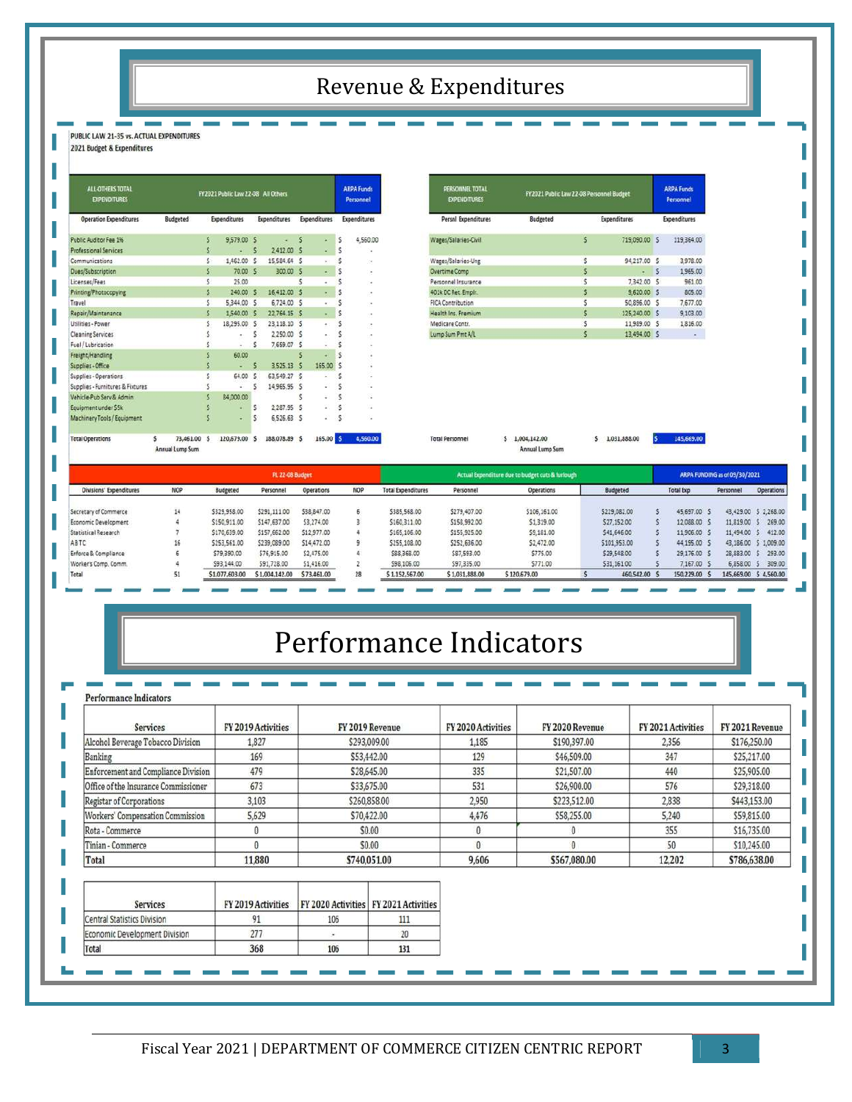## Revenue & Expenditures

### PUBLIC LAW 21-35 vs. ACTUAL EXPENDITURES

2021 Budget & Expenditures

| <b>ALL-OTHERS TOTAL</b><br><b>EXPENDITURES</b> |   |                              |    | FY2021 Public Law 22-08 All Others |              |                     |        |                     | <b>ARPA Funds</b><br>Personnel |                     |  |  |
|------------------------------------------------|---|------------------------------|----|------------------------------------|--------------|---------------------|--------|---------------------|--------------------------------|---------------------|--|--|
| <b>Operation Expenditures</b>                  |   | <b>Budgeted</b>              |    | Expenditures                       |              | <b>Expenditures</b> |        | <b>Expenditures</b> |                                | <b>Expenditures</b> |  |  |
| Public Auditor Fee 1%                          |   |                              | \$ | 9,579.00 \$                        |              |                     | s      | ı.                  | \$                             | 4,560.00            |  |  |
| <b>Professional Services</b>                   |   |                              | \$ | ÷                                  | $\mathsf{S}$ | 2,412.00 \$         |        | ä,                  | 5                              |                     |  |  |
| <b>Communications</b>                          |   |                              | Š. | 1,462.00                           | $\mathsf{S}$ | 15,584.64           | 5      | ¥.                  | Ŝ                              | $\sim$              |  |  |
| Dues/Subscription                              |   |                              | Ś  | 70.00 \$                           |              | 300.00 \$           |        | $\bullet$           | Ś                              | ۸                   |  |  |
| Licenses/Fees                                  |   |                              | Ś  | 25.00                              |              |                     | Ś      | à.                  | Ś                              | ٠                   |  |  |
| Printing/Photocopying                          |   |                              | ś  | 240.00 S                           |              | 16,412.00 \$        |        | ٠                   | \$                             | ٠                   |  |  |
| Travel                                         |   |                              | Ś  | 5,344.00 \$                        |              | 6,724.00 \$         |        | ×.                  | Ś                              | ×                   |  |  |
| Repair/Maintenance                             |   |                              | Ŝ  | 1,540.00 \$                        |              | 22.764.15 \$        |        | ×                   | Ś                              | ÷,                  |  |  |
| Utilities - Power                              |   |                              | Ś  | 18,295.00                          | \$           | 23,118.10 \$        |        | ٠                   | \$                             | Ġ,                  |  |  |
| <b>Cleaning Services</b>                       |   |                              | Ś  | ٠                                  | 5            | 2,250.00 \$         |        | ٠                   | Ś                              | ۰                   |  |  |
| Fuel / Lubrication                             |   |                              | Ś  |                                    | \$           | 7,659.07            | 5      |                     | \$                             | ٠                   |  |  |
| Freight/Handling                               |   |                              | Ś  | 60.00                              |              |                     | Ś      |                     | Ś                              | ¥                   |  |  |
| Supplies - Office                              |   |                              | Š  |                                    | s            | 3.525.13            | s      | 165.00              | 'S                             |                     |  |  |
| Supplies - Operations                          |   |                              | Ś  | 64.00                              | $\mathsf{S}$ | 63.549.27           | $\sim$ |                     | Ś                              | ٠                   |  |  |
| Supplies - Furnitures & Fixtures               |   |                              | Ś  |                                    | \$           | 14,965.95 \$        |        | ÷                   | Š                              | ×                   |  |  |
| Vehicle-Pub Serv & Admin                       |   |                              | Ś  | 84,000.00                          |              |                     | Ś      | U,                  | Ś                              | Y.                  |  |  |
| Equipment under SSk                            |   |                              |    |                                    | \$           | 2.287.95            | \$     | 2                   | Ŝ                              |                     |  |  |
| Machinery Tools / Equipment                    |   |                              | \$ |                                    | \$           | 6,526.63 \$         |        | ä,                  | S.                             |                     |  |  |
| <b>Total Operations</b>                        | Ś | 73,461.00<br>Annual Lump Sum | s  | 120,679.00                         | s            | 188,078.89 \$       |        | 165.00              |                                | 4,560.00            |  |  |

|                 |              |           |                                                                 | <b>ARPA Funds</b><br>Personnel                                                                          |
|-----------------|--------------|-----------|-----------------------------------------------------------------|---------------------------------------------------------------------------------------------------------|
| <b>Budgeted</b> |              |           |                                                                 | <b>Expenditures</b>                                                                                     |
|                 | ŝ            |           |                                                                 | 119,364.00                                                                                              |
|                 | Ś            | 94,217.00 |                                                                 | 3,978.00                                                                                                |
|                 | 5            |           | s                                                               | 1,965.00                                                                                                |
|                 | Ŝ            | 7,342.00  | $\overline{\mathbf{S}}$                                         | 961.00                                                                                                  |
|                 | $\mathsf{s}$ |           |                                                                 | 805.00                                                                                                  |
|                 |              |           |                                                                 | 7,677.00                                                                                                |
|                 |              |           |                                                                 | 9,103.00                                                                                                |
|                 |              |           |                                                                 | 1,816.00                                                                                                |
|                 | 5            |           |                                                                 | $\,$                                                                                                    |
|                 |              |           | FY2021 Public Law 22-08 Personnel Budget<br><b>Expenditures</b> | 719.090.00 \$<br>$\sim$<br>9,620.00 \$<br>50,896.00 \$<br>125,240.00 \$<br>11.989.00 \$<br>13.494.00 \$ |

 $5$  1,031,888.00

 $5 - 145,669,00$ 

 $5 - 1,004,142.00$ 

Annual Lump Sum

| <b>NOP</b><br>Divisions' Expenditures |    | <b>PL 22-08 Budget</b> |                |                   |            | Actual Expenditure due to budget cuts & furlough |                |              |  |                 | ARPA FUNDING as of 09/30/2021 |                  |              |                        |  |
|---------------------------------------|----|------------------------|----------------|-------------------|------------|--------------------------------------------------|----------------|--------------|--|-----------------|-------------------------------|------------------|--------------|------------------------|--|
|                                       |    | <b>Budgeted</b>        | Personnel      | <b>Operations</b> | <b>NOP</b> | <b>Total Expenditures</b>                        | Personnel      | Operations   |  | <b>Budgeted</b> |                               | <b>Total Exp</b> | Personnel    | <b>Operations</b>      |  |
| Secretary of Commerce                 | 14 | \$329,958.00           | \$291,111.00   | 538, 847.00       |            | \$385,568.00                                     | \$279,407.00   | \$106,161.00 |  | \$229,082.00    |                               | 45,697.00 9      |              | 43,429.00 \$ 2,268.00  |  |
| Economic Development                  |    | \$150,911.00           | \$147,637.00   | \$3,274.00        |            | \$160,311.00                                     | \$158,992.00   | \$1,319.00   |  | \$27,152.00     |                               | 12,088.00 \$     | 11,819.00 \$ | 269.00                 |  |
| <b>Statistical Research</b>           |    | \$170,639.00           | \$157,662.00   | \$12,977.00       |            | \$165,106.00                                     | \$155,925.00   | \$9,181.00   |  | \$41,646.00     |                               | 11,906.00        | 11.494.00 \$ | 412.00                 |  |
| ABTC                                  |    | \$253,561.00           | \$239,089.00   | \$14,472.00       |            | \$255,108.00                                     | \$252,636.00   | \$2,472.00   |  | \$101,953.00    |                               | 44,195.00        |              | 43,186.00 \$ 1,009.00  |  |
| Enforce & Compliance                  |    | \$79,390.00            | \$76,915.00    | \$2,475.00        |            | \$88,368.00                                      | \$87,593.00    | \$775.00     |  | \$29,548.00     |                               | 29,176.00 9      | 28,883.00 \$ | 293.00                 |  |
| Worker's Comp. Comm.                  |    | \$93,144.00            | \$91,728.00    | 51,416.00         |            | \$98,106.00                                      | \$97,335.00    | \$771.00     |  | \$31,161.00     |                               | 7,167.00 \$      | 6,858.00 \$  | 309.00                 |  |
| Total                                 | 51 | \$1,077,603.00         | \$1,004,142.00 | \$73,461.00       | 28         | \$1,152,567.00                                   | \$1,031,888.00 | \$120,679.00 |  | 460,542.00      |                               | 150.229.00       |              | 145,669.00 \$ 4,560.00 |  |

**Total Personnel** 

## Performance Indicators

| <b>Services</b>                      | FY 2019 Activities | FY 2019 Revenue                         |              |              |              |        |              | FY 2020 Activities | FY 2020 Revenue | FY 2021 Activities | FY 2021 Revenue |
|--------------------------------------|--------------------|-----------------------------------------|--------------|--------------|--------------|--------|--------------|--------------------|-----------------|--------------------|-----------------|
| Alcohol Beverage Tobacco Division    | 1.827              | \$293,009.00                            |              | 1.185        | \$190,397.00 | 2,356  | \$176,250.00 |                    |                 |                    |                 |
| Banking                              | 169                |                                         | \$53,442.00  | 129          | \$46,509.00  | 347    | \$25,217.00  |                    |                 |                    |                 |
| Enforcement and Compliance Division  | 479                |                                         | \$28,645.00  | 335          | \$21,507.00  | 440    | \$25,905.00  |                    |                 |                    |                 |
| Office of the Insurance Commissioner | 673                |                                         | \$33,675.00  | 531          | \$26,900.00  | 576    | \$29,318.00  |                    |                 |                    |                 |
| Registar of Corporations             | 3,103              | \$260,858.00                            |              | 2,950        | \$223,512.00 | 2,838  | \$443,153.00 |                    |                 |                    |                 |
| Workers' Compensation Commission     | 5,629              | \$70,422.00                             |              | 4,476        | \$58,255.00  | 5,240  | \$59,815.00  |                    |                 |                    |                 |
| Rota - Commerce                      | $\bf{0}$           | \$0.00                                  |              | $\mathbf{0}$ | $\theta$     | 355    | \$16,735.00  |                    |                 |                    |                 |
| Tinian - Commerce                    | 0                  |                                         | \$0.00       |              | $\theta$     | 50     | \$10,245.00  |                    |                 |                    |                 |
| Total                                | 11,880             |                                         | \$740,051.00 |              | \$567,080.00 | 12,202 | \$786,638.00 |                    |                 |                    |                 |
| Services                             | FY 2019 Activities | FY 2020 Activities   FY 2021 Activities |              |              |              |        |              |                    |                 |                    |                 |
| <b>Central Statistics Division</b>   | 91                 | 106                                     | 111          |              |              |        |              |                    |                 |                    |                 |
| Economic Development Division        | 277                |                                         | 20           |              |              |        |              |                    |                 |                    |                 |
| <b>Total</b>                         | 368                | 106                                     | 131          |              |              |        |              |                    |                 |                    |                 |